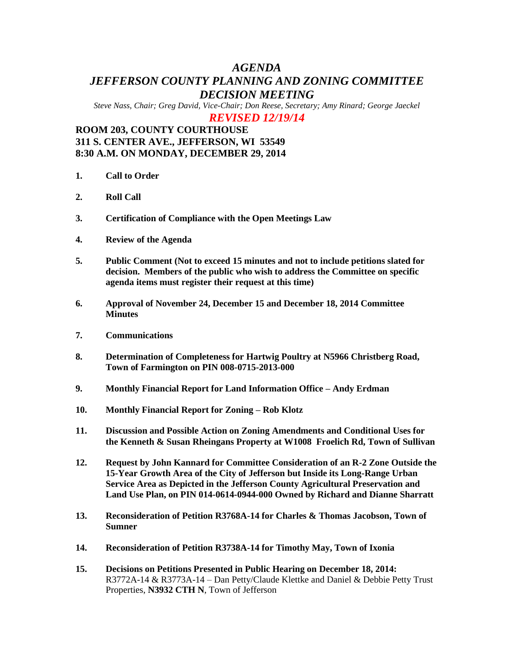# *AGENDA JEFFERSON COUNTY PLANNING AND ZONING COMMITTEE DECISION MEETING*

*Steve Nass, Chair; Greg David, Vice-Chair; Don Reese, Secretary; Amy Rinard; George Jaeckel*

*REVISED 12/19/14*

## **ROOM 203, COUNTY COURTHOUSE 311 S. CENTER AVE., JEFFERSON, WI 53549 8:30 A.M. ON MONDAY, DECEMBER 29, 2014**

- **1. Call to Order**
- **2. Roll Call**
- **3. Certification of Compliance with the Open Meetings Law**
- **4. Review of the Agenda**
- **5. Public Comment (Not to exceed 15 minutes and not to include petitions slated for decision. Members of the public who wish to address the Committee on specific agenda items must register their request at this time)**
- **6. Approval of November 24, December 15 and December 18, 2014 Committee Minutes**
- **7. Communications**
- **8. Determination of Completeness for Hartwig Poultry at N5966 Christberg Road, Town of Farmington on PIN 008-0715-2013-000**
- **9. Monthly Financial Report for Land Information Office – Andy Erdman**
- **10. Monthly Financial Report for Zoning – Rob Klotz**
- **11. Discussion and Possible Action on Zoning Amendments and Conditional Uses for the Kenneth & Susan Rheingans Property at W1008 Froelich Rd, Town of Sullivan**
- **12. Request by John Kannard for Committee Consideration of an R-2 Zone Outside the 15-Year Growth Area of the City of Jefferson but Inside its Long-Range Urban Service Area as Depicted in the Jefferson County Agricultural Preservation and Land Use Plan, on PIN 014-0614-0944-000 Owned by Richard and Dianne Sharratt**
- **13. Reconsideration of Petition R3768A-14 for Charles & Thomas Jacobson, Town of Sumner**
- **14. Reconsideration of Petition R3738A-14 for Timothy May, Town of Ixonia**
- **15. Decisions on Petitions Presented in Public Hearing on December 18, 2014:** R3772A-14 & R3773A-14 – Dan Petty/Claude Klettke and Daniel & Debbie Petty Trust Properties, **N3932 CTH N**, Town of Jefferson